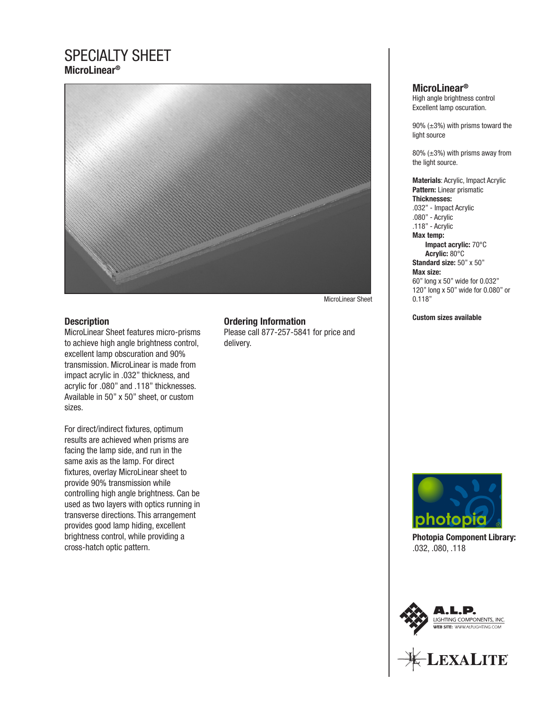## SPECIALTY SHEET **MicroLinear®**



#### MicroLinear Sheet

#### **Description**

MicroLinear Sheet features micro-prisms to achieve high angle brightness control, excellent lamp obscuration and 90% transmission. MicroLinear is made from impact acrylic in .032" thickness, and acrylic for .080" and .118" thicknesses. Available in 50" x 50" sheet, or custom sizes.

For direct/indirect fixtures, optimum results are achieved when prisms are facing the lamp side, and run in the same axis as the lamp. For direct fixtures, overlay MicroLinear sheet to provide 90% transmission while controlling high angle brightness. Can be used as two layers with optics running in transverse directions. This arrangement provides good lamp hiding, excellent brightness control, while providing a cross-hatch optic pattern.

#### **Ordering Information**

Please call 877-257-5841 for price and delivery.

#### **MicroLinear®**

High angle brightness control Excellent lamp oscuration.

90%  $(\pm 3)$  with prisms toward the light source

80%  $(\pm 3)$  with prisms away from the light source.

**Materials**: Acrylic, Impact Acrylic **Pattern:** Linear prismatic **Thicknesses:** .032" - Impact Acrylic .080" - Acrylic .118" - Acrylic **Max temp: Impact acrylic:** 70°C  **Acrylic:** 80°C **Standard size:** 50" x 50" **Max size:** 60" long x 50" wide for 0.032" 120" long x 50" wide for 0.080" or 0.118"

**Custom sizes available**



**Photopia Component Library:** .032, .080, .118



EXALITE